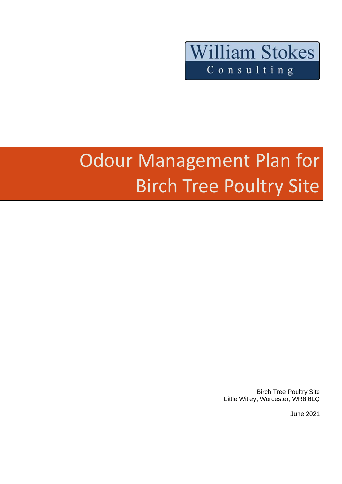

# Odour Management Plan for Birch Tree Poultry Site

Birch Tree Poultry Site Little Witley, Worcester, WR6 6LQ

June 2021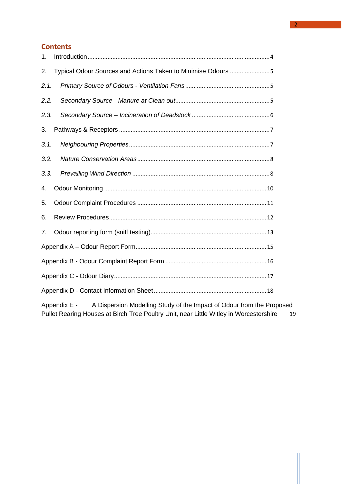# **Contents**

| 1.   |                                                                                     |  |  |
|------|-------------------------------------------------------------------------------------|--|--|
| 2.   | Typical Odour Sources and Actions Taken to Minimise Odours 5                        |  |  |
| 2.1. |                                                                                     |  |  |
| 2.2. |                                                                                     |  |  |
| 2.3. |                                                                                     |  |  |
| 3.   |                                                                                     |  |  |
| 3.1. |                                                                                     |  |  |
| 3.2. |                                                                                     |  |  |
| 3.3. |                                                                                     |  |  |
| 4.   |                                                                                     |  |  |
| 5.   |                                                                                     |  |  |
| 6.   |                                                                                     |  |  |
| 7.   |                                                                                     |  |  |
|      |                                                                                     |  |  |
|      |                                                                                     |  |  |
|      |                                                                                     |  |  |
|      |                                                                                     |  |  |
|      | Appendix $\Gamma$ A Dispersion Modelling Study of the Impact of Odeur from the Prop |  |  |

Appendix E - A Dispersion Modelling Study of the Impact of Odour from the Proposed [Pullet Rearing Houses at Birch Tree Poultry Unit, near Little Witley in Worcestershire](#page-18-0) 19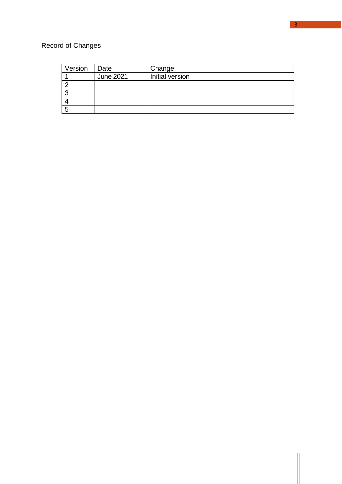# Record of Changes

| Version | Date             | Change          |
|---------|------------------|-----------------|
|         | <b>June 2021</b> | Initial version |
|         |                  |                 |
|         |                  |                 |
|         |                  |                 |
|         |                  |                 |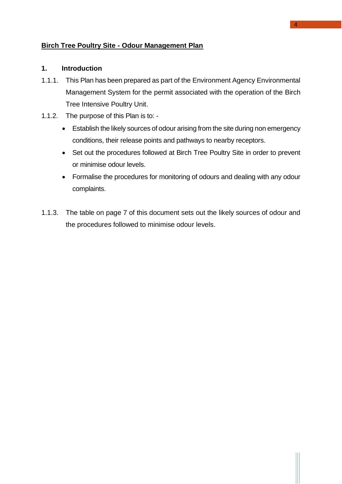## **Birch Tree Poultry Site - Odour Management Plan**

#### <span id="page-3-0"></span>**1. Introduction**

- 1.1.1. This Plan has been prepared as part of the Environment Agency Environmental Management System for the permit associated with the operation of the Birch Tree Intensive Poultry Unit.
- 1.1.2. The purpose of this Plan is to:
	- Establish the likely sources of odour arising from the site during non emergency conditions, their release points and pathways to nearby receptors.
	- Set out the procedures followed at Birch Tree Poultry Site in order to prevent or minimise odour levels.
	- Formalise the procedures for monitoring of odours and dealing with any odour complaints.
- 1.1.3. The table on page 7 of this document sets out the likely sources of odour and the procedures followed to minimise odour levels.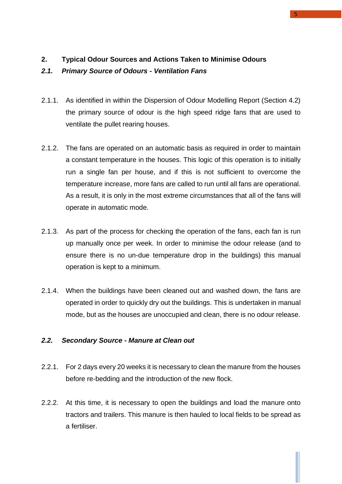## <span id="page-4-0"></span>**2. Typical Odour Sources and Actions Taken to Minimise Odours**

#### <span id="page-4-1"></span>*2.1. Primary Source of Odours - Ventilation Fans*

- 2.1.1. As identified in within the Dispersion of Odour Modelling Report (Section 4.2) the primary source of odour is the high speed ridge fans that are used to ventilate the pullet rearing houses.
- 2.1.2. The fans are operated on an automatic basis as required in order to maintain a constant temperature in the houses. This logic of this operation is to initially run a single fan per house, and if this is not sufficient to overcome the temperature increase, more fans are called to run until all fans are operational. As a result, it is only in the most extreme circumstances that all of the fans will operate in automatic mode.
- 2.1.3. As part of the process for checking the operation of the fans, each fan is run up manually once per week. In order to minimise the odour release (and to ensure there is no un-due temperature drop in the buildings) this manual operation is kept to a minimum.
- 2.1.4. When the buildings have been cleaned out and washed down, the fans are operated in order to quickly dry out the buildings. This is undertaken in manual mode, but as the houses are unoccupied and clean, there is no odour release.

## <span id="page-4-2"></span>*2.2. Secondary Source - Manure at Clean out*

- 2.2.1. For 2 days every 20 weeks it is necessary to clean the manure from the houses before re-bedding and the introduction of the new flock.
- 2.2.2. At this time, it is necessary to open the buildings and load the manure onto tractors and trailers. This manure is then hauled to local fields to be spread as a fertiliser.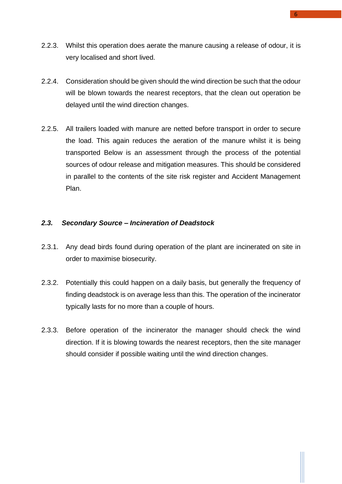- 2.2.3. Whilst this operation does aerate the manure causing a release of odour, it is very localised and short lived.
- 2.2.4. Consideration should be given should the wind direction be such that the odour will be blown towards the nearest receptors, that the clean out operation be delayed until the wind direction changes.
- 2.2.5. All trailers loaded with manure are netted before transport in order to secure the load. This again reduces the aeration of the manure whilst it is being transported Below is an assessment through the process of the potential sources of odour release and mitigation measures. This should be considered in parallel to the contents of the site risk register and Accident Management Plan.

#### <span id="page-5-0"></span>*2.3. Secondary Source – Incineration of Deadstock*

- 2.3.1. Any dead birds found during operation of the plant are incinerated on site in order to maximise biosecurity.
- 2.3.2. Potentially this could happen on a daily basis, but generally the frequency of finding deadstock is on average less than this. The operation of the incinerator typically lasts for no more than a couple of hours.
- 2.3.3. Before operation of the incinerator the manager should check the wind direction. If it is blowing towards the nearest receptors, then the site manager should consider if possible waiting until the wind direction changes.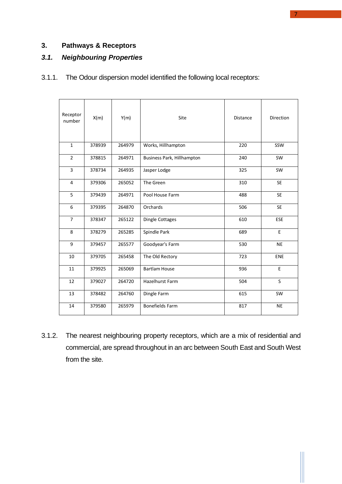## <span id="page-6-0"></span>**3. Pathways & Receptors**

## <span id="page-6-1"></span>*3.1. Neighbouring Properties*

# 3.1.1. The Odour dispersion model identified the following local receptors:

| Receptor<br>number | X(m)   | Y(m)   | Site                              | <b>Distance</b> | <b>Direction</b> |
|--------------------|--------|--------|-----------------------------------|-----------------|------------------|
| $\mathbf{1}$       | 378939 | 264979 | Works, Hillhampton                | 220             | SSW              |
| $\overline{2}$     | 378815 | 264971 | <b>Business Park, Hillhampton</b> | 240             | SW               |
| 3                  | 378734 | 264935 | Jasper Lodge                      | 325             | <b>SW</b>        |
| 4                  | 379306 | 265052 | The Green                         | 310             | <b>SE</b>        |
| 5                  | 379439 | 264971 | Pool House Farm                   | 488             | <b>SE</b>        |
| 6                  | 379395 | 264870 | Orchards                          | 506             | <b>SE</b>        |
| $\overline{7}$     | 378347 | 265122 | <b>Dingle Cottages</b>            | 610             | <b>ESE</b>       |
| 8                  | 378279 | 265285 | Spindle Park                      | 689             | $\mathsf E$      |
| 9                  | 379457 | 265577 | Goodyear's Farm                   | 530             | <b>NE</b>        |
| 10                 | 379705 | 265458 | The Old Rectory                   | 723             | <b>ENE</b>       |
| 11                 | 379925 | 265069 | <b>Bartlam House</b>              | 936             | E                |
| 12                 | 379027 | 264720 | <b>Hazelhurst Farm</b>            | 504             | S                |
| 13                 | 378482 | 264760 | Dingle Farm                       | 615             | SW               |
| 14                 | 379580 | 265979 | <b>Bonefields Farm</b>            | 817             | <b>NE</b>        |

3.1.2. The nearest neighbouring property receptors, which are a mix of residential and commercial, are spread throughout in an arc between South East and South West from the site.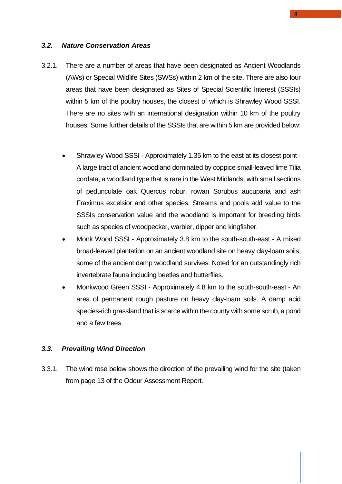#### <span id="page-7-0"></span>*3.2. Nature Conservation Areas*

- 3.2.1. There are a number of areas that have been designated as Ancient Woodlands (AWs) or Special Wildlife Sites (SWSs) within 2 km of the site. There are also four areas that have been designated as Sites of Special Scientific Interest (SSSIs) within 5 km of the poultry houses, the closest of which is Shrawley Wood SSSI. There are no sites with an international designation within 10 km of the poultry houses. Some further details of the SSSIs that are within 5 km are provided below:
	- Shrawley Wood SSSI Approximately 1.35 km to the east at its closest point A large tract of ancient woodland dominated by coppice small-leaved lime Tilia cordata, a woodland type that is rare in the West Midlands, with small sections of pedunculate oak Quercus robur, rowan Sorubus aucuparia and ash Fraximus excelsior and other species. Streams and pools add value to the SSSIs conservation value and the woodland is important for breeding birds such as species of woodpecker, warbler, dipper and kingfisher.
	- Monk Wood SSSI Approximately 3.8 km to the south-south-east A mixed broad-leaved plantation on an ancient woodland site on heavy clay-loam soils; some of the ancient damp woodland survives. Noted for an outstandingly rich invertebrate fauna including beetles and butterflies.
	- Monkwood Green SSSI Approximately 4.8 km to the south-south-east An area of permanent rough pasture on heavy clay-loam soils. A damp acid species-rich grassland that is scarce within the county with some scrub, a pond and a few trees.

#### <span id="page-7-1"></span>*3.3. Prevailing Wind Direction*

3.3.1. The wind rose below shows the direction of the prevailing wind for the site (taken from page 13 of the Odour Assessment Report.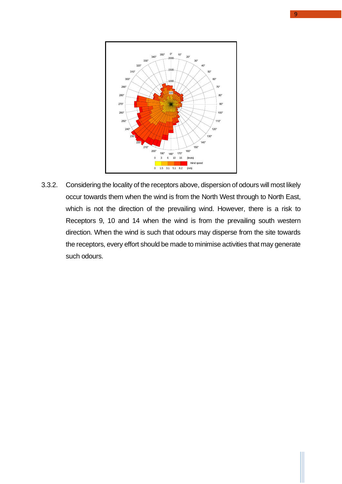

3.3.2. Considering the locality of the receptors above, dispersion of odours will most likely occur towards them when the wind is from the North West through to North East, which is not the direction of the prevailing wind. However, there is a risk to Receptors 9, 10 and 14 when the wind is from the prevailing south western direction. When the wind is such that odours may disperse from the site towards the receptors, every effort should be made to minimise activities that may generate such odours.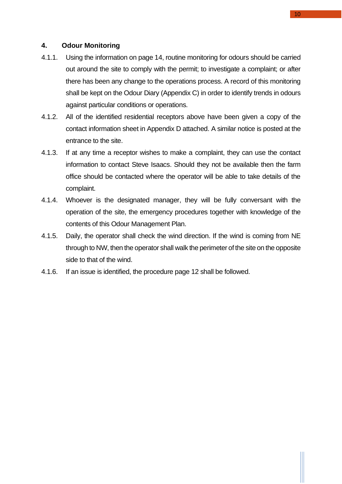#### <span id="page-9-0"></span>**4. Odour Monitoring**

- 4.1.1. Using the information on page 14, routine monitoring for odours should be carried out around the site to comply with the permit; to investigate a complaint; or after there has been any change to the operations process. A record of this monitoring shall be kept on the Odour Diary (Appendix C) in order to identify trends in odours against particular conditions or operations.
- 4.1.2. All of the identified residential receptors above have been given a copy of the contact information sheet in Appendix D attached. A similar notice is posted at the entrance to the site.
- 4.1.3. If at any time a receptor wishes to make a complaint, they can use the contact information to contact Steve Isaacs. Should they not be available then the farm office should be contacted where the operator will be able to take details of the complaint.
- 4.1.4. Whoever is the designated manager, they will be fully conversant with the operation of the site, the emergency procedures together with knowledge of the contents of this Odour Management Plan.
- 4.1.5. Daily, the operator shall check the wind direction. If the wind is coming from NE through to NW, then the operator shall walk the perimeter of the site on the opposite side to that of the wind.
- 4.1.6. If an issue is identified, the procedure page 12 shall be followed.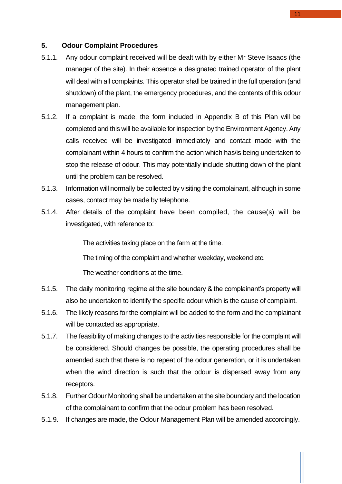#### <span id="page-10-0"></span>**5. Odour Complaint Procedures**

- 5.1.1. Any odour complaint received will be dealt with by either Mr Steve Isaacs (the manager of the site). In their absence a designated trained operator of the plant will deal with all complaints. This operator shall be trained in the full operation (and shutdown) of the plant, the emergency procedures, and the contents of this odour management plan.
- 5.1.2. If a complaint is made, the form included in Appendix B of this Plan will be completed and this will be available for inspection by the Environment Agency. Any calls received will be investigated immediately and contact made with the complainant within 4 hours to confirm the action which has/is being undertaken to stop the release of odour. This may potentially include shutting down of the plant until the problem can be resolved.
- 5.1.3. Information will normally be collected by visiting the complainant, although in some cases, contact may be made by telephone.
- 5.1.4. After details of the complaint have been compiled, the cause(s) will be investigated, with reference to:

The activities taking place on the farm at the time.

The timing of the complaint and whether weekday, weekend etc.

The weather conditions at the time.

- 5.1.5. The daily monitoring regime at the site boundary & the complainant's property will also be undertaken to identify the specific odour which is the cause of complaint.
- 5.1.6. The likely reasons for the complaint will be added to the form and the complainant will be contacted as appropriate.
- 5.1.7. The feasibility of making changes to the activities responsible for the complaint will be considered. Should changes be possible, the operating procedures shall be amended such that there is no repeat of the odour generation, or it is undertaken when the wind direction is such that the odour is dispersed away from any receptors.
- 5.1.8. Further Odour Monitoring shall be undertaken at the site boundary and the location of the complainant to confirm that the odour problem has been resolved.
- 5.1.9. If changes are made, the Odour Management Plan will be amended accordingly.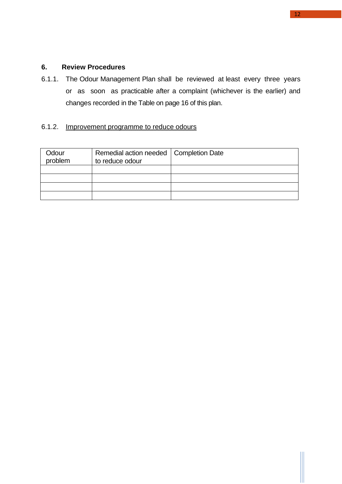## <span id="page-11-0"></span>**6. Review Procedures**

6.1.1. The Odour Management Plan shall be reviewed at least every three years or as soon as practicable after a complaint (whichever is the earlier) and changes recorded in the Table on page 16 of this plan.

## 6.1.2. Improvement programme to reduce odours

| Odour<br>problem | Remedial action needed   Completion Date<br>to reduce odour |  |
|------------------|-------------------------------------------------------------|--|
|                  |                                                             |  |
|                  |                                                             |  |
|                  |                                                             |  |
|                  |                                                             |  |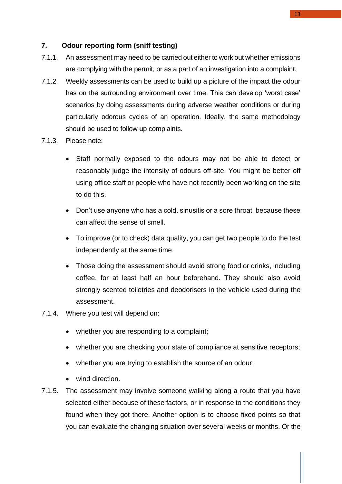## <span id="page-12-0"></span>**7. Odour reporting form (sniff testing)**

- 7.1.1. An assessment may need to be carried out either to work out whether emissions are complying with the permit, or as a part of an investigation into a complaint.
- 7.1.2. Weekly assessments can be used to build up a picture of the impact the odour has on the surrounding environment over time. This can develop 'worst case' scenarios by doing assessments during adverse weather conditions or during particularly odorous cycles of an operation. Ideally, the same methodology should be used to follow up complaints.
- 7.1.3. Please note:
	- Staff normally exposed to the odours may not be able to detect or reasonably judge the intensity of odours off-site. You might be better off using office staff or people who have not recently been working on the site to do this.
	- Don't use anyone who has a cold, sinusitis or a sore throat, because these can affect the sense of smell.
	- To improve (or to check) data quality, you can get two people to do the test independently at the same time.
	- Those doing the assessment should avoid strong food or drinks, including coffee, for at least half an hour beforehand. They should also avoid strongly scented toiletries and deodorisers in the vehicle used during the assessment.
- 7.1.4. Where you test will depend on:
	- whether you are responding to a complaint;
	- whether you are checking your state of compliance at sensitive receptors;
	- whether you are trying to establish the source of an odour;
	- wind direction.
- 7.1.5. The assessment may involve someone walking along a route that you have selected either because of these factors, or in response to the conditions they found when they got there. Another option is to choose fixed points so that you can evaluate the changing situation over several weeks or months. Or the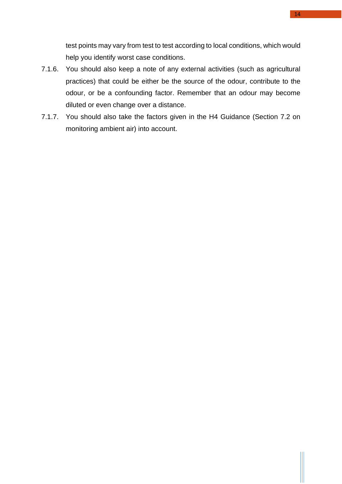test points may vary from test to test according to local conditions, which would help you identify worst case conditions.

- 7.1.6. You should also keep a note of any external activities (such as agricultural practices) that could be either be the source of the odour, contribute to the odour, or be a confounding factor. Remember that an odour may become diluted or even change over a distance.
- 7.1.7. You should also take the factors given in the H4 Guidance (Section 7.2 on monitoring ambient air) into account.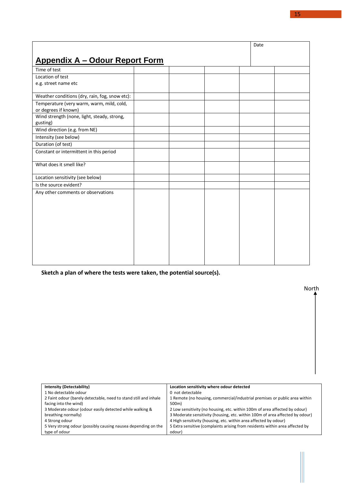<span id="page-14-0"></span>

| <b>Appendix A - Odour Report Form</b>                             |  |
|-------------------------------------------------------------------|--|
| Time of test                                                      |  |
| Location of test                                                  |  |
| e.g. street name etc                                              |  |
|                                                                   |  |
| Weather conditions (dry, rain, fog, snow etc):                    |  |
| Temperature (very warm, warm, mild, cold,<br>or degrees if known) |  |
| Wind strength (none, light, steady, strong,<br>gusting)           |  |
| Wind direction (e.g. from NE)                                     |  |
| Intensity (see below)                                             |  |
| Duration (of test)                                                |  |
| Constant or intermittent in this period                           |  |
| What does it smell like?                                          |  |
| Location sensitivity (see below)                                  |  |
| Is the source evident?                                            |  |
| Any other comments or observations                                |  |
|                                                                   |  |
|                                                                   |  |
|                                                                   |  |
|                                                                   |  |
|                                                                   |  |
|                                                                   |  |
|                                                                   |  |
|                                                                   |  |
|                                                                   |  |

**Sketch a plan of where the tests were taken, the potential source(s).**

| <b>Intensity (Detectability)</b>                                 | Location sensitivity where odour detected                                    |
|------------------------------------------------------------------|------------------------------------------------------------------------------|
| 1 No detectable odour                                            | 0 not detectable                                                             |
| 2 Faint odour (barely detectable, need to stand still and inhale | 1 Remote (no housing, commercial/industrial premises or public area within   |
| facing into the wind)                                            | 500m)                                                                        |
| 3 Moderate odour (odour easily detected while walking &          | 2 Low sensitivity (no housing, etc. within 100m of area affected by odour)   |
| breathing normally)                                              | 3 Moderate sensitivity (housing, etc. within 100m of area affected by odour) |
| 4 Strong odour                                                   | 4 High sensitivity (housing, etc. within area affected by odour)             |
| 5 Very strong odour (possibly causing nausea depending on the    | 5 Extra sensitive (complaints arising from residents within area affected by |
| type of odour                                                    | odour)                                                                       |
|                                                                  |                                                                              |

North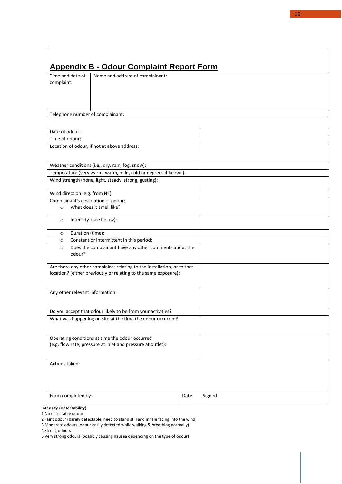# <span id="page-15-0"></span>**Appendix B - Odour Complaint Report Form**

Time and date of complaint: Name and address of complainant:

Telephone number of complainant:

| Date of odour:                                                                                                                             |      |        |
|--------------------------------------------------------------------------------------------------------------------------------------------|------|--------|
| Time of odour:                                                                                                                             |      |        |
| Location of odour, if not at above address:                                                                                                |      |        |
| Weather conditions (i.e., dry, rain, fog, snow):                                                                                           |      |        |
| Temperature (very warm, warm, mild, cold or degrees if known):                                                                             |      |        |
| Wind strength (none, light, steady, strong, gusting):                                                                                      |      |        |
| Wind direction (e.g. from NE):                                                                                                             |      |        |
| Complainant's description of odour:<br>What does it smell like?<br>$\circ$                                                                 |      |        |
| Intensity (see below):<br>$\circ$                                                                                                          |      |        |
| Duration (time):<br>$\circ$                                                                                                                |      |        |
| Constant or intermittent in this period:<br>$\circ$                                                                                        |      |        |
| Does the complainant have any other comments about the<br>$\circ$<br>odour?                                                                |      |        |
| Are there any other complaints relating to the installation, or to that<br>location? (either previously or relating to the same exposure): |      |        |
| Any other relevant information:                                                                                                            |      |        |
| Do you accept that odour likely to be from your activities?                                                                                |      |        |
| What was happening on site at the time the odour occurred?                                                                                 |      |        |
| Operating conditions at time the odour occurred<br>(e.g. flow rate, pressure at inlet and pressure at outlet):                             |      |        |
| Actions taken:                                                                                                                             |      |        |
| Form completed by:                                                                                                                         | Date | Signed |
| <b>Intensity (Detectability)</b>                                                                                                           |      |        |

1 No detectable odour

2 Faint odour (barely detectable, need to stand still and inhale facing into the wind)

3 Moderate odours (odour easily detected while walking & breathing normally)

4 Strong odours

5 Very strong odours (possibly causing nausea depending on the type of odour)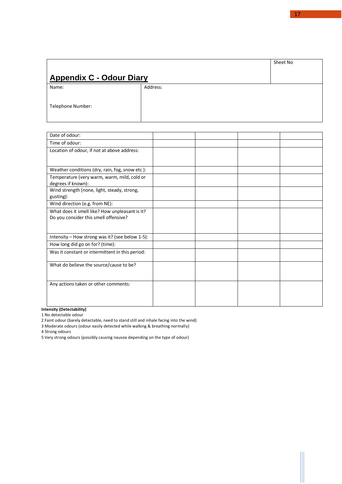# <span id="page-16-0"></span>**Appendix C - Odour Diary**

Name:

Address:

Telephone Number:

| Date of odour:                                                                          |  |  |
|-----------------------------------------------------------------------------------------|--|--|
| Time of odour:                                                                          |  |  |
| Location of odour, if not at above address:                                             |  |  |
|                                                                                         |  |  |
| Weather conditions (dry, rain, fog, snow etc):                                          |  |  |
| Temperature (very warm, warm, mild, cold or<br>degrees if known):                       |  |  |
| Wind strength (none, light, steady, strong,<br>gusting):                                |  |  |
| Wind direction (e.g. from NE):                                                          |  |  |
| What does it smell like? How unpleasant is it?<br>Do you consider this smell offensive? |  |  |
| Intensity - How strong was it? (see below 1-5):                                         |  |  |
| How long did go on for? (time):                                                         |  |  |
| Was it constant or intermittent in this period:                                         |  |  |
| What do believe the source/cause to be?                                                 |  |  |
| Any actions taken or other comments:                                                    |  |  |

**Intensity (Detectability)**

1 No detectable odour

2 Faint odour (barely detectable, need to stand still and inhale facing into the wind)

3 Moderate odours (odour easily detected while walking & breathing normally)

4 Strong odours

5 Very strong odours (possibly causing nausea depending on the type of odour)

Sheet No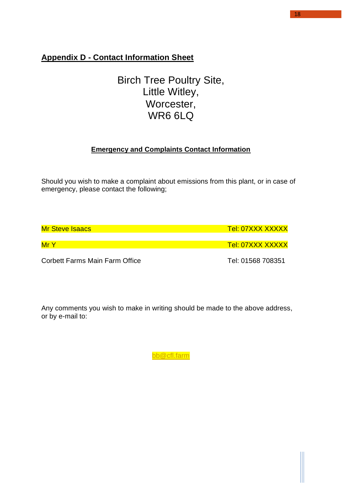# <span id="page-17-0"></span>**Appendix D - Contact Information Sheet**

# Birch Tree Poultry Site, Little Witley, Worcester, WR6 6LQ

# **Emergency and Complaints Contact Information**

Should you wish to make a complaint about emissions from this plant, or in case of emergency, please contact the following;

| <b>Mr Steve Isaacs</b>         | <u>Tel: 07XXX XXXXX</u> |
|--------------------------------|-------------------------|
| MrY                            | <u>Tel: 07XXX XXXXX</u> |
| Corbett Farms Main Farm Office | Tel: 01568 708351       |

Any comments you wish to make in writing should be made to the above address, or by e-mail to:

[bb@cfl.farm](mailto:bb@cfl.farm)